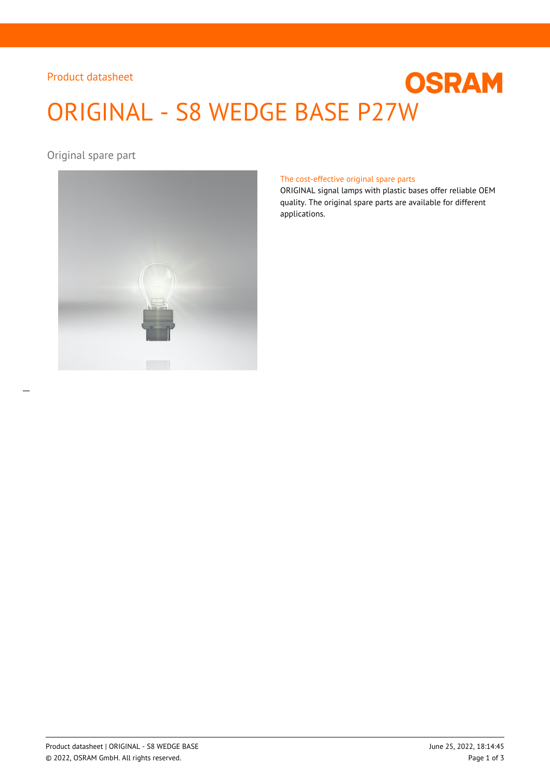## Product datasheet

# **OSRAM** ORIGINAL - S8 WEDGE BASE P27W

Original spare part



#### The cost-effective original spare parts

ORIGINAL signal lamps with plastic bases offer reliable OEM quality. The original spare parts are available for different applications.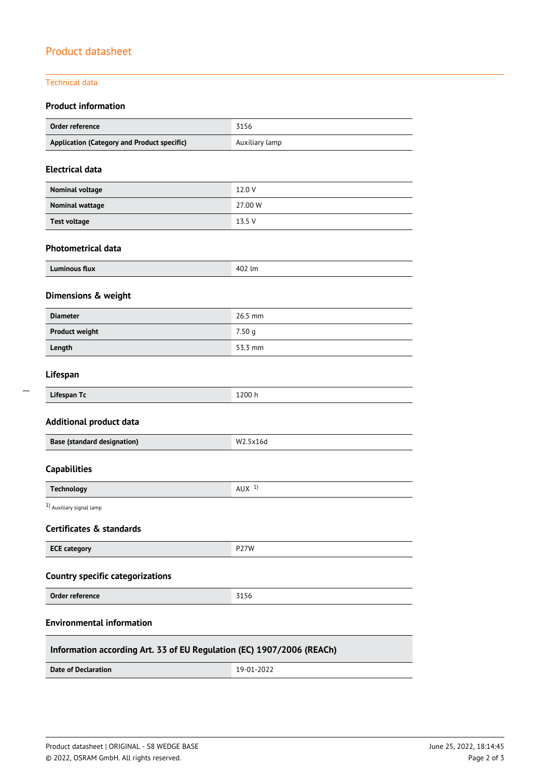## Product datasheet

## Technical data

 $\overline{\phantom{a}}$ 

## **Product information**

| <b>Order reference</b>                                                | 3156              |  |  |  |  |
|-----------------------------------------------------------------------|-------------------|--|--|--|--|
| Application (Category and Product specific)                           | Auxiliary lamp    |  |  |  |  |
| <b>Electrical data</b>                                                |                   |  |  |  |  |
| Nominal voltage                                                       | 12.0 V            |  |  |  |  |
| <b>Nominal wattage</b>                                                | 27.00 W           |  |  |  |  |
| <b>Test voltage</b>                                                   | 13.5 V            |  |  |  |  |
| <b>Photometrical data</b>                                             |                   |  |  |  |  |
| <b>Luminous flux</b>                                                  | 402 lm            |  |  |  |  |
| Dimensions & weight                                                   |                   |  |  |  |  |
| <b>Diameter</b>                                                       | 26.5 mm           |  |  |  |  |
| <b>Product weight</b>                                                 | 7.50 <sub>g</sub> |  |  |  |  |
| Length                                                                | 53.3 mm           |  |  |  |  |
| Lifespan                                                              |                   |  |  |  |  |
| Lifespan Tc                                                           | 1200 h            |  |  |  |  |
| <b>Additional product data</b>                                        |                   |  |  |  |  |
| <b>Base (standard designation)</b>                                    | W2.5x16d          |  |  |  |  |
| <b>Capabilities</b>                                                   |                   |  |  |  |  |
| <b>Technology</b>                                                     | AUX <sup>1</sup>  |  |  |  |  |
| 1) Auxiliary signal lamp                                              |                   |  |  |  |  |
| Certificates & standards                                              |                   |  |  |  |  |
| <b>ECE category</b>                                                   | <b>P27W</b>       |  |  |  |  |
| <b>Country specific categorizations</b>                               |                   |  |  |  |  |
| <b>Order reference</b>                                                | 3156              |  |  |  |  |
| <b>Environmental information</b>                                      |                   |  |  |  |  |
| Information according Art. 33 of EU Regulation (EC) 1907/2006 (REACh) |                   |  |  |  |  |